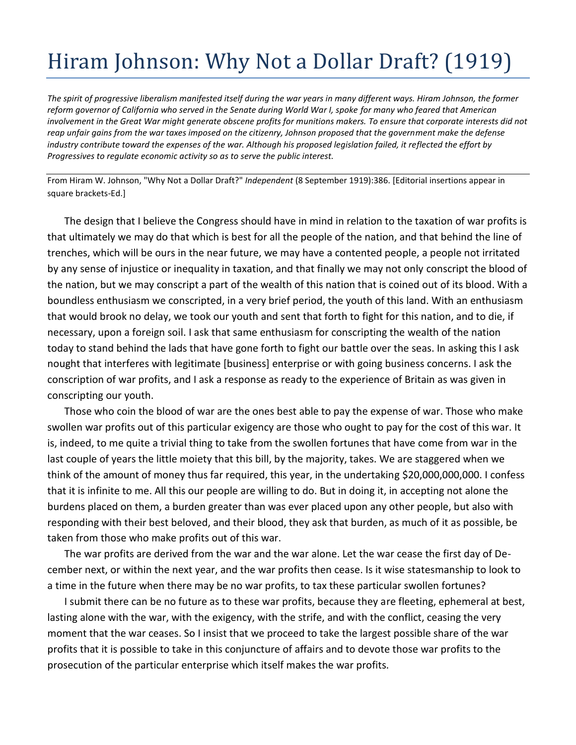## Hiram Johnson: Why Not a Dollar Draft? (1919)

*The spirit of progressive liberalism manifested itself during the war years in many different ways. Hiram Johnson, the former reform governor of California who served in the Senate during World War I, spoke for many who feared that American involvement in the Great War might generate obscene profits for munitions makers. To ensure that corporate interests did not reap unfair gains from the war taxes imposed on the citizenry, Johnson proposed that the government make the defense industry contribute toward the expenses of the war. Although his proposed legislation failed, it reflected the effort by Progressives to regulate economic activity so as to serve the public interest.*

From Hiram W. Johnson, "Why Not a Dollar Draft?" *Independent* (8 September 1919):386. [Editorial insertions appear in square brackets-Ed.]

The design that I believe the Congress should have in mind in relation to the taxation of war profits is that ultimately we may do that which is best for all the people of the nation, and that behind the line of trenches, which will be ours in the near future, we may have a contented people, a people not irritated by any sense of injustice or inequality in taxation, and that finally we may not only conscript the blood of the nation, but we may conscript a part of the wealth of this nation that is coined out of its blood. With a boundless enthusiasm we conscripted, in a very brief period, the youth of this land. With an enthusiasm that would brook no delay, we took our youth and sent that forth to fight for this nation, and to die, if necessary, upon a foreign soil. I ask that same enthusiasm for conscripting the wealth of the nation today to stand behind the lads that have gone forth to fight our battle over the seas. In asking this I ask nought that interferes with legitimate [business] enterprise or with going business concerns. I ask the conscription of war profits, and I ask a response as ready to the experience of Britain as was given in conscripting our youth.

Those who coin the blood of war are the ones best able to pay the expense of war. Those who make swollen war profits out of this particular exigency are those who ought to pay for the cost of this war. It is, indeed, to me quite a trivial thing to take from the swollen fortunes that have come from war in the last couple of years the little moiety that this bill, by the majority, takes. We are staggered when we think of the amount of money thus far required, this year, in the undertaking \$20,000,000,000. I confess that it is infinite to me. All this our people are willing to do. But in doing it, in accepting not alone the burdens placed on them, a burden greater than was ever placed upon any other people, but also with responding with their best beloved, and their blood, they ask that burden, as much of it as possible, be taken from those who make profits out of this war.

The war profits are derived from the war and the war alone. Let the war cease the first day of December next, or within the next year, and the war profits then cease. Is it wise statesmanship to look to a time in the future when there may be no war profits, to tax these particular swollen fortunes?

I submit there can be no future as to these war profits, because they are fleeting, ephemeral at best, lasting alone with the war, with the exigency, with the strife, and with the conflict, ceasing the very moment that the war ceases. So I insist that we proceed to take the largest possible share of the war profits that it is possible to take in this conjuncture of affairs and to devote those war profits to the prosecution of the particular enterprise which itself makes the war profits.